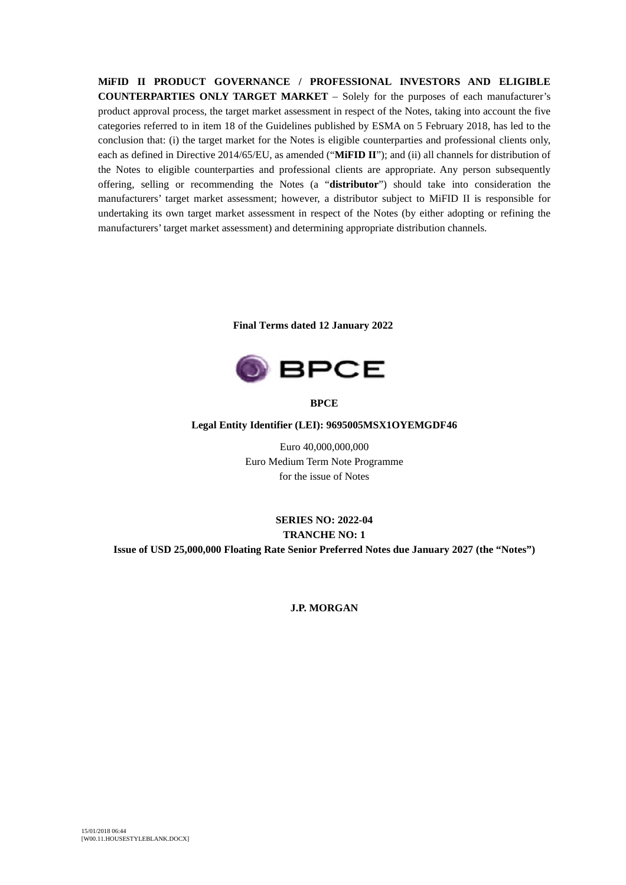**MiFID II PRODUCT GOVERNANCE / PROFESSIONAL INVESTORS AND ELIGIBLE COUNTERPARTIES ONLY TARGET MARKET** – Solely for the purposes of each manufacturer's product approval process, the target market assessment in respect of the Notes, taking into account the five categories referred to in item 18 of the Guidelines published by ESMA on 5 February 2018, has led to the conclusion that: (i) the target market for the Notes is eligible counterparties and professional clients only, each as defined in Directive 2014/65/EU, as amended ("**MiFID II**"); and (ii) all channels for distribution of the Notes to eligible counterparties and professional clients are appropriate. Any person subsequently offering, selling or recommending the Notes (a "**distributor**") should take into consideration the manufacturers' target market assessment; however, a distributor subject to MiFID II is responsible for undertaking its own target market assessment in respect of the Notes (by either adopting or refining the manufacturers' target market assessment) and determining appropriate distribution channels.

**Final Terms dated 12 January 2022**



**BPCE**

**Legal Entity Identifier (LEI): 9695005MSX1OYEMGDF46**

Euro 40,000,000,000 Euro Medium Term Note Programme for the issue of Notes

# **SERIES NO: 2022-04 TRANCHE NO: 1 Issue of USD 25,000,000 Floating Rate Senior Preferred Notes due January 2027 (the "Notes")**

**J.P. MORGAN**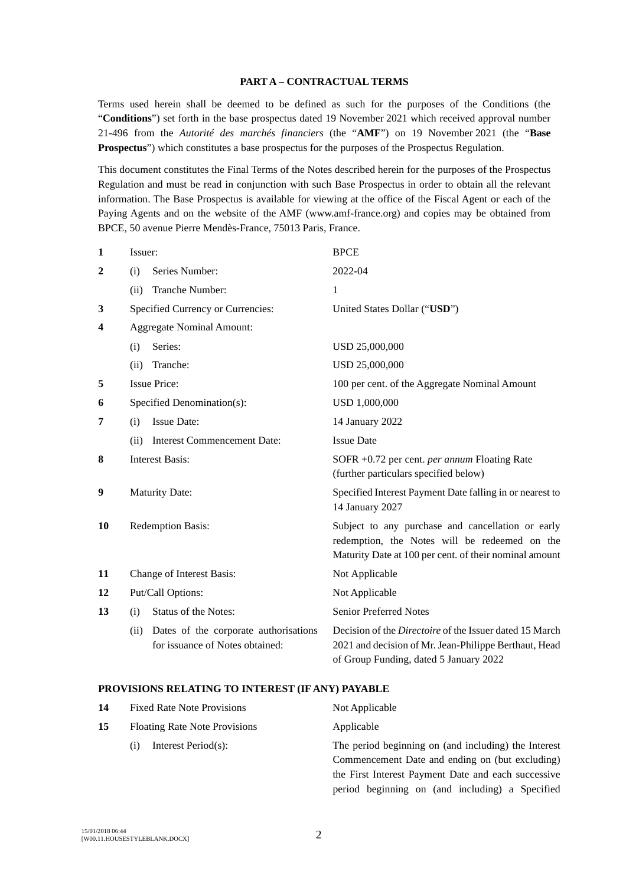#### **PART A – CONTRACTUAL TERMS**

Terms used herein shall be deemed to be defined as such for the purposes of the Conditions (the "**Conditions**") set forth in the base prospectus dated 19 November 2021 which received approval number 21-496 from the *Autorité des marchés financiers* (the "**AMF**") on 19 November 2021 (the "**Base Prospectus**") which constitutes a base prospectus for the purposes of the Prospectus Regulation.

This document constitutes the Final Terms of the Notes described herein for the purposes of the Prospectus Regulation and must be read in conjunction with such Base Prospectus in order to obtain all the relevant information. The Base Prospectus is available for viewing at the office of the Fiscal Agent or each of the Paying Agents and on the website of the AMF (www.amf-france.org) and copies may be obtained from BPCE, 50 avenue Pierre Mendès-France, 75013 Paris, France.

| 1              | Issuer:                                                                          | <b>BPCE</b>                                                                                                                                                       |  |
|----------------|----------------------------------------------------------------------------------|-------------------------------------------------------------------------------------------------------------------------------------------------------------------|--|
| $\overline{2}$ | Series Number:<br>(i)                                                            | 2022-04                                                                                                                                                           |  |
|                | Tranche Number:<br>(ii)                                                          | 1                                                                                                                                                                 |  |
| 3              | Specified Currency or Currencies:                                                | United States Dollar ("USD")                                                                                                                                      |  |
| 4              | <b>Aggregate Nominal Amount:</b>                                                 |                                                                                                                                                                   |  |
|                | Series:<br>(i)                                                                   | USD 25,000,000                                                                                                                                                    |  |
|                | Tranche:<br>(ii)                                                                 | USD 25,000,000                                                                                                                                                    |  |
| 5              | <b>Issue Price:</b>                                                              | 100 per cent. of the Aggregate Nominal Amount                                                                                                                     |  |
| 6              | Specified Denomination(s):<br>USD 1,000,000                                      |                                                                                                                                                                   |  |
| 7              | <b>Issue Date:</b><br>(i)                                                        | 14 January 2022                                                                                                                                                   |  |
|                | <b>Interest Commencement Date:</b><br>(ii)                                       | <b>Issue Date</b>                                                                                                                                                 |  |
| 8              | <b>Interest Basis:</b>                                                           | SOFR +0.72 per cent. per annum Floating Rate<br>(further particulars specified below)                                                                             |  |
| 9              | <b>Maturity Date:</b>                                                            | Specified Interest Payment Date falling in or nearest to<br>14 January 2027                                                                                       |  |
| 10             | Redemption Basis:                                                                | Subject to any purchase and cancellation or early<br>redemption, the Notes will be redeemed on the<br>Maturity Date at 100 per cent. of their nominal amount      |  |
| 11             | Change of Interest Basis:                                                        | Not Applicable                                                                                                                                                    |  |
| 12             | Put/Call Options:                                                                | Not Applicable                                                                                                                                                    |  |
| 13             | <b>Status of the Notes:</b><br>(i)                                               | <b>Senior Preferred Notes</b>                                                                                                                                     |  |
|                | Dates of the corporate authorisations<br>(ii)<br>for issuance of Notes obtained: | Decision of the <i>Directoire</i> of the Issuer dated 15 March<br>2021 and decision of Mr. Jean-Philippe Berthaut, Head<br>of Group Funding, dated 5 January 2022 |  |

### **PROVISIONS RELATING TO INTEREST (IF ANY) PAYABLE**

| 14 | <b>Fixed Rate Note Provisions</b>    | Not Applicable                                       |
|----|--------------------------------------|------------------------------------------------------|
| 15 | <b>Floating Rate Note Provisions</b> | Applicable                                           |
|    | Interest Period(s):<br>$\rm(i)$      | The period beginning on (and including) the Interest |
|    |                                      | Commencement Date and ending on (but excluding)      |
|    |                                      | the First Interest Payment Date and each successive  |
|    |                                      | period beginning on (and including) a Specified      |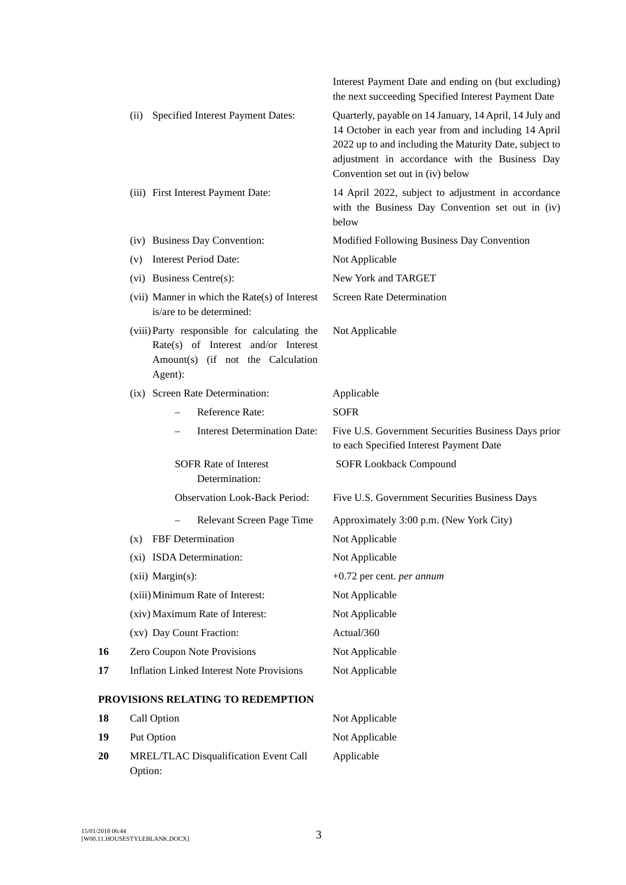|    |                                                                                                                                     | Interest Payment Date and ending on (but excluding)<br>the next succeeding Specified Interest Payment Date                                                                                                                                                     |
|----|-------------------------------------------------------------------------------------------------------------------------------------|----------------------------------------------------------------------------------------------------------------------------------------------------------------------------------------------------------------------------------------------------------------|
|    | Specified Interest Payment Dates:<br>(ii)                                                                                           | Quarterly, payable on 14 January, 14 April, 14 July and<br>14 October in each year from and including 14 April<br>2022 up to and including the Maturity Date, subject to<br>adjustment in accordance with the Business Day<br>Convention set out in (iv) below |
|    | (iii) First Interest Payment Date:                                                                                                  | 14 April 2022, subject to adjustment in accordance<br>with the Business Day Convention set out in (iv)<br>below                                                                                                                                                |
|    | (iv) Business Day Convention:                                                                                                       | Modified Following Business Day Convention                                                                                                                                                                                                                     |
|    | <b>Interest Period Date:</b><br>(v)                                                                                                 | Not Applicable                                                                                                                                                                                                                                                 |
|    | (vi) Business Centre(s):                                                                                                            | New York and TARGET                                                                                                                                                                                                                                            |
|    | (vii) Manner in which the Rate(s) of Interest<br>is/are to be determined:                                                           | <b>Screen Rate Determination</b>                                                                                                                                                                                                                               |
|    | (viii) Party responsible for calculating the<br>Rate(s) of Interest and/or Interest<br>Amount(s) (if not the Calculation<br>Agent): | Not Applicable                                                                                                                                                                                                                                                 |
|    | (ix) Screen Rate Determination:                                                                                                     | Applicable                                                                                                                                                                                                                                                     |
|    | Reference Rate:                                                                                                                     | <b>SOFR</b>                                                                                                                                                                                                                                                    |
|    | <b>Interest Determination Date:</b>                                                                                                 | Five U.S. Government Securities Business Days prior<br>to each Specified Interest Payment Date                                                                                                                                                                 |
|    | <b>SOFR Rate of Interest</b><br>Determination:                                                                                      | <b>SOFR Lookback Compound</b>                                                                                                                                                                                                                                  |
|    | <b>Observation Look-Back Period:</b>                                                                                                | Five U.S. Government Securities Business Days                                                                                                                                                                                                                  |
|    | Relevant Screen Page Time                                                                                                           | Approximately 3:00 p.m. (New York City)                                                                                                                                                                                                                        |
|    | FBF Determination<br>(x)                                                                                                            | Not Applicable                                                                                                                                                                                                                                                 |
|    | (xi) ISDA Determination:                                                                                                            | Not Applicable                                                                                                                                                                                                                                                 |
|    | (xii) Margin(s):                                                                                                                    | +0.72 per cent. per annum                                                                                                                                                                                                                                      |
|    | (xiii) Minimum Rate of Interest:                                                                                                    | Not Applicable                                                                                                                                                                                                                                                 |
|    | (xiv) Maximum Rate of Interest:                                                                                                     | Not Applicable                                                                                                                                                                                                                                                 |
|    | (xv) Day Count Fraction:                                                                                                            | Actual/360                                                                                                                                                                                                                                                     |
| 16 | Zero Coupon Note Provisions                                                                                                         | Not Applicable                                                                                                                                                                                                                                                 |
| 17 | <b>Inflation Linked Interest Note Provisions</b>                                                                                    | Not Applicable                                                                                                                                                                                                                                                 |
|    | PROVISIONS RELATING TO REDEMPTION                                                                                                   |                                                                                                                                                                                                                                                                |
| 18 | Call Option                                                                                                                         | Not Applicable                                                                                                                                                                                                                                                 |
| 19 | Put Option                                                                                                                          | Not Applicable                                                                                                                                                                                                                                                 |
| 20 | MREL/TLAC Disqualification Event Call                                                                                               | Applicable                                                                                                                                                                                                                                                     |

Option: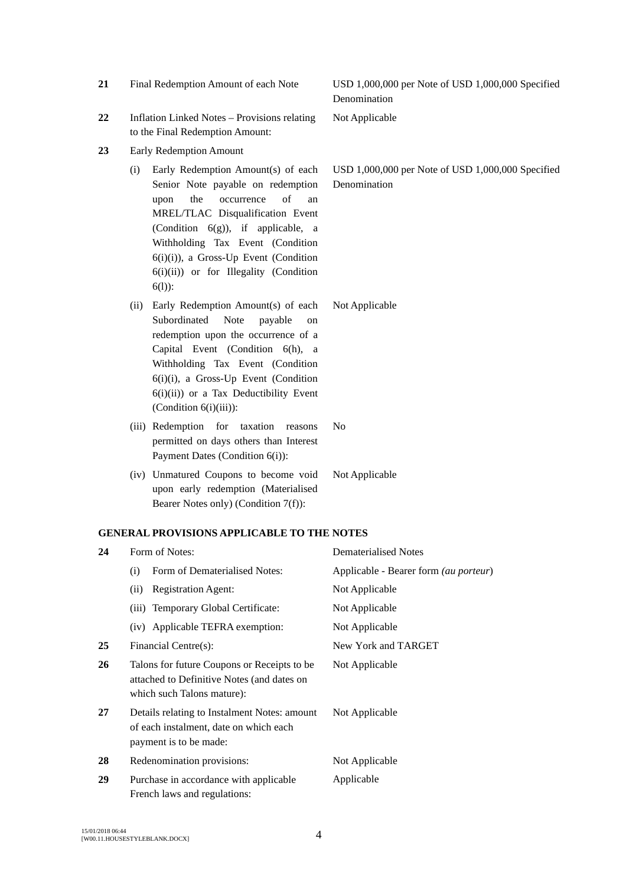| 22 |                                                                                                                         | <b>Inflation Linked Notes - Provisions relating</b><br>to the Final Redemption Amount:                                                                                                                                                                                                                                           | Not Applicable                                                    |
|----|-------------------------------------------------------------------------------------------------------------------------|----------------------------------------------------------------------------------------------------------------------------------------------------------------------------------------------------------------------------------------------------------------------------------------------------------------------------------|-------------------------------------------------------------------|
| 23 | Early Redemption Amount                                                                                                 |                                                                                                                                                                                                                                                                                                                                  |                                                                   |
|    | (i)                                                                                                                     | Early Redemption Amount(s) of each<br>Senior Note payable on redemption<br>of<br>the<br>occurrence<br>upon<br>an<br>MREL/TLAC Disqualification Event<br>(Condition $6(g)$ ), if applicable, a<br>Withholding Tax Event (Condition<br>6(i)(i)), a Gross-Up Event (Condition<br>6(i)(ii)) or for Illegality (Condition<br>$6(1)$ : | USD 1,000,000 per Note of USD 1,000,000 Specified<br>Denomination |
|    | (ii)                                                                                                                    | Early Redemption Amount(s) of each<br>Subordinated<br>Note<br>payable<br>on<br>redemption upon the occurrence of a<br>Capital Event (Condition 6(h), a<br>Withholding Tax Event (Condition<br>6(i)(i), a Gross-Up Event (Condition<br>$6(i)(ii)$ or a Tax Deductibility Event<br>(Condition $6(i)(iii)$ ):                       | Not Applicable                                                    |
|    |                                                                                                                         | (iii) Redemption for taxation<br>reasons<br>permitted on days others than Interest<br>Payment Dates (Condition 6(i)):                                                                                                                                                                                                            | No                                                                |
|    |                                                                                                                         | (iv) Unmatured Coupons to become void<br>upon early redemption (Materialised<br>Bearer Notes only) (Condition 7(f)):                                                                                                                                                                                                             | Not Applicable                                                    |
|    |                                                                                                                         | <b>GENERAL PROVISIONS APPLICABLE TO THE NOTES</b>                                                                                                                                                                                                                                                                                |                                                                   |
| 24 |                                                                                                                         | Form of Notes:                                                                                                                                                                                                                                                                                                                   | <b>Dematerialised Notes</b>                                       |
|    | (i)                                                                                                                     | Form of Dematerialised Notes:                                                                                                                                                                                                                                                                                                    | Applicable - Bearer form (au porteur)                             |
|    | (ii)                                                                                                                    | <b>Registration Agent:</b>                                                                                                                                                                                                                                                                                                       | Not Applicable                                                    |
|    | (iii)                                                                                                                   | Temporary Global Certificate:                                                                                                                                                                                                                                                                                                    | Not Applicable                                                    |
|    |                                                                                                                         | (iv) Applicable TEFRA exemption:                                                                                                                                                                                                                                                                                                 | Not Applicable                                                    |
| 25 | Financial Centre(s):                                                                                                    |                                                                                                                                                                                                                                                                                                                                  | New York and TARGET                                               |
| 26 | Talons for future Coupons or Receipts to be<br>attached to Definitive Notes (and dates on<br>which such Talons mature): |                                                                                                                                                                                                                                                                                                                                  | Not Applicable                                                    |
| 27 | Details relating to Instalment Notes: amount<br>of each instalment, date on which each<br>payment is to be made:        |                                                                                                                                                                                                                                                                                                                                  | Not Applicable                                                    |
| 28 |                                                                                                                         | Redenomination provisions:                                                                                                                                                                                                                                                                                                       | Not Applicable                                                    |
| 29 |                                                                                                                         | Purchase in accordance with applicable<br>French laws and regulations:                                                                                                                                                                                                                                                           | Applicable                                                        |
|    |                                                                                                                         |                                                                                                                                                                                                                                                                                                                                  |                                                                   |

**21** Final Redemption Amount of each Note USD 1,000,000 per Note of USD 1,000,000 Specified

Denomination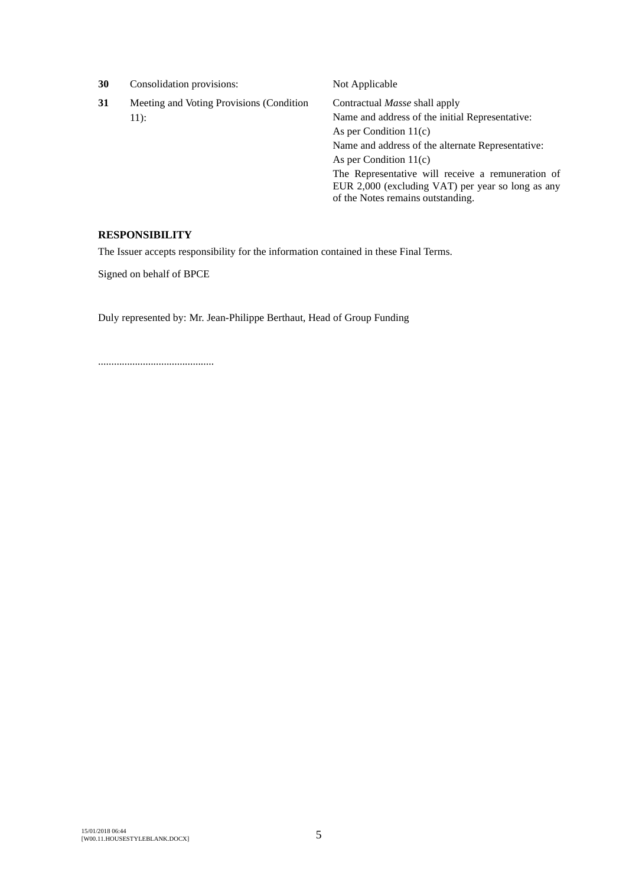| 30 | Consolidation provisions:                | Not Applicable                                                                                                                              |
|----|------------------------------------------|---------------------------------------------------------------------------------------------------------------------------------------------|
| 31 | Meeting and Voting Provisions (Condition | Contractual <i>Masse</i> shall apply                                                                                                        |
|    | $11$ :                                   | Name and address of the initial Representative:                                                                                             |
|    |                                          | As per Condition $11(c)$                                                                                                                    |
|    |                                          | Name and address of the alternate Representative:                                                                                           |
|    |                                          | As per Condition $11(c)$                                                                                                                    |
|    |                                          | The Representative will receive a remuneration of<br>EUR 2,000 (excluding VAT) per year so long as any<br>of the Notes remains outstanding. |
|    |                                          |                                                                                                                                             |

## **RESPONSIBILITY**

The Issuer accepts responsibility for the information contained in these Final Terms.

Signed on behalf of BPCE

Duly represented by: Mr. Jean-Philippe Berthaut, Head of Group Funding

............................................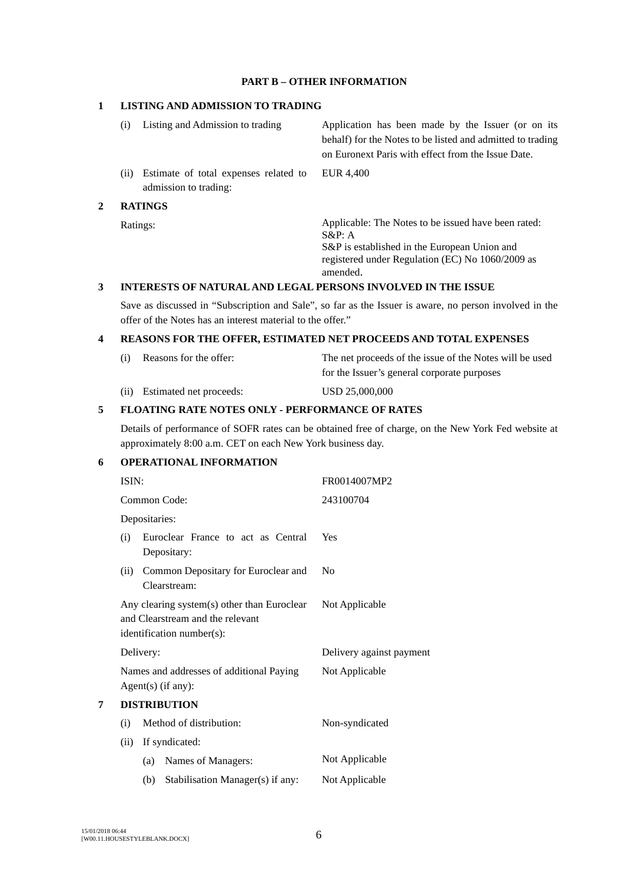#### **PART B – OTHER INFORMATION**

#### **1 LISTING AND ADMISSION TO TRADING**

- (i) Listing and Admission to trading Application has been made by the Issuer (or on its behalf) for the Notes to be listed and admitted to trading on Euronext Paris with effect from the Issue Date. (ii) Estimate of total expenses related to EUR 4,400
- admission to trading:

# **2 RATINGS**

Ratings: Applicable: The Notes to be issued have been rated: S&P: A S&P is established in the European Union and registered under Regulation (EC) No 1060/2009 as amended.

### **3 INTERESTS OF NATURAL AND LEGAL PERSONS INVOLVED IN THE ISSUE**

Save as discussed in "Subscription and Sale", so far as the Issuer is aware, no person involved in the offer of the Notes has an interest material to the offer."

### **4 REASONS FOR THE OFFER, ESTIMATED NET PROCEEDS AND TOTAL EXPENSES**

| (i) Reasons for the offer:   | The net proceeds of the issue of the Notes will be used |
|------------------------------|---------------------------------------------------------|
|                              | for the Issuer's general corporate purposes             |
| (ii) Estimated net proceeds: | USD 25,000,000                                          |

# **5 FLOATING RATE NOTES ONLY - PERFORMANCE OF RATES**

Details of performance of SOFR rates can be obtained free of charge, on the New York Fed website at approximately 8:00 a.m. CET on each New York business day.

# **6 OPERATIONAL INFORMATION**

|   | ISIN: |                                                                                                              | FR0014007MP2             |
|---|-------|--------------------------------------------------------------------------------------------------------------|--------------------------|
|   |       | Common Code:                                                                                                 | 243100704                |
|   |       | Depositaries:                                                                                                |                          |
|   | (i)   | Euroclear France to act as Central<br>Depositary:                                                            | Yes                      |
|   | (ii)  | Common Depositary for Euroclear and<br>Clearstream:                                                          | N <sub>0</sub>           |
|   |       | Any clearing system(s) other than Euroclear<br>and Clearstream and the relevant<br>identification number(s): | Not Applicable           |
|   |       | Delivery:                                                                                                    | Delivery against payment |
|   |       | Names and addresses of additional Paying<br>$Agent(s)$ (if any):                                             | Not Applicable           |
| 7 |       | <b>DISTRIBUTION</b>                                                                                          |                          |
|   | (i)   | Method of distribution:                                                                                      | Non-syndicated           |
|   | (ii)  | If syndicated:                                                                                               |                          |
|   |       | Names of Managers:<br>(a)                                                                                    | Not Applicable           |
|   |       | Stabilisation Manager(s) if any:<br>(b)                                                                      | Not Applicable           |
|   |       |                                                                                                              |                          |